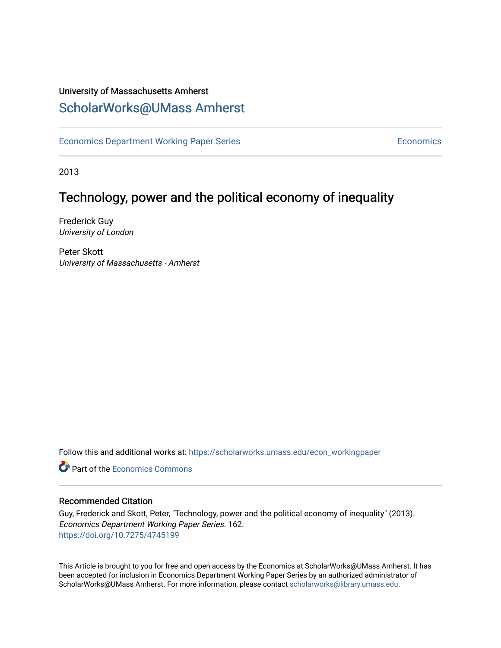### University of Massachusetts Amherst [ScholarWorks@UMass Amherst](https://scholarworks.umass.edu/)

[Economics Department Working Paper Series](https://scholarworks.umass.edu/econ_workingpaper) **Economics** Economics

2013

### Technology, power and the political economy of inequality

Frederick Guy University of London

Peter Skott University of Massachusetts - Amherst

Follow this and additional works at: [https://scholarworks.umass.edu/econ\\_workingpaper](https://scholarworks.umass.edu/econ_workingpaper?utm_source=scholarworks.umass.edu%2Fecon_workingpaper%2F162&utm_medium=PDF&utm_campaign=PDFCoverPages) 

**C** Part of the [Economics Commons](http://network.bepress.com/hgg/discipline/340?utm_source=scholarworks.umass.edu%2Fecon_workingpaper%2F162&utm_medium=PDF&utm_campaign=PDFCoverPages)

#### Recommended Citation

Guy, Frederick and Skott, Peter, "Technology, power and the political economy of inequality" (2013). Economics Department Working Paper Series. 162. <https://doi.org/10.7275/4745199>

This Article is brought to you for free and open access by the Economics at ScholarWorks@UMass Amherst. It has been accepted for inclusion in Economics Department Working Paper Series by an authorized administrator of ScholarWorks@UMass Amherst. For more information, please contact [scholarworks@library.umass.edu.](mailto:scholarworks@library.umass.edu)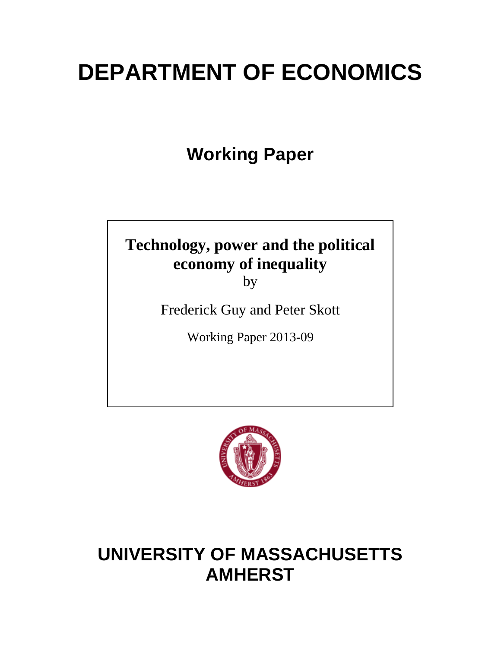# **DEPARTMENT OF ECONOMICS**

**Working Paper**

## **Technology, power and the political economy of inequality**

by

Frederick Guy and Peter Skott

Working Paper 2013-09



## **UNIVERSITY OF MASSACHUSETTS AMHERST**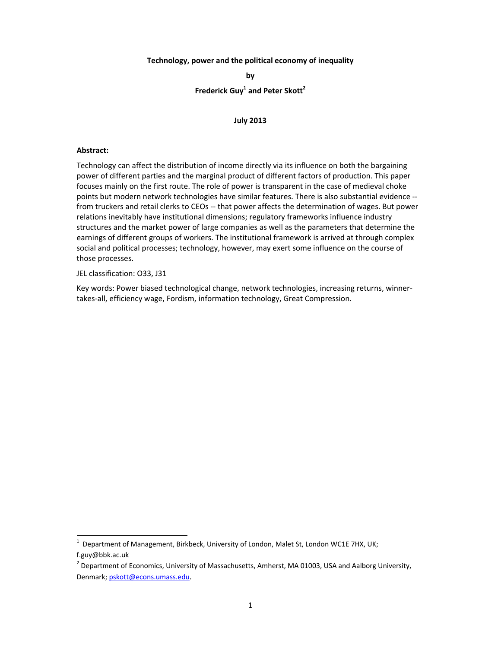**Technology, power and the political economy of inequality**

 $$ **Frederick Guy<sup>1</sup> and Peter Skott<sup>2</sup>**

#### **July 2013**

#### **Abstract:**

Technology can affect the distribution of income directly via its influence on both the bargaining power of different parties and the marginal product of different factors of production. This paper focuses mainly on the first route. The role of power is transparent in the case of medieval choke points but modern network technologies have similar features. There is also substantial evidence ‐‐ from truckers and retail clerks to CEOs -- that power affects the determination of wages. But power relations inevitably have institutional dimensions; regulatory frameworks influence industry structures and the market power of large companies as well as the parameters that determine the earnings of different groups of workers. The institutional framework is arrived at through complex social and political processes; technology, however, may exert some influence on the course of those processes.

JEL classification: O33, J31

Key words: Power biased technological change, network technologies, increasing returns, winner‐ takes‐all, efficiency wage, Fordism, information technology, Great Compression.

<sup>1</sup> Department of Management, Birkbeck, University of London, Malet St, London WC1E 7HX, UK; f.guy@bbk.ac.uk

<sup>&</sup>lt;sup>2</sup> Department of Economics, University of Massachusetts, Amherst, MA 01003, USA and Aalborg University, Denmark; pskott@econs.umass.edu.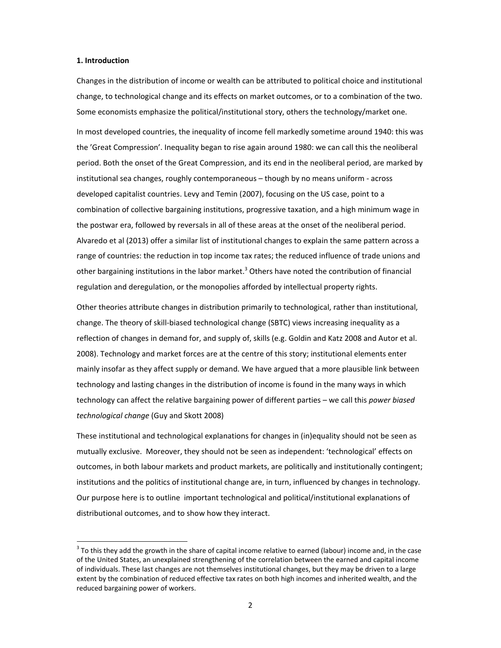#### **1. Introduction**

Changes in the distribution of income or wealth can be attributed to political choice and institutional change, to technological change and its effects on market outcomes, or to a combination of the two. Some economists emphasize the political/institutional story, others the technology/market one.

In most developed countries, the inequality of income fell markedly sometime around 1940: this was the 'Great Compression'. Inequality began to rise again around 1980: we can call this the neoliberal period. Both the onset of the Great Compression, and its end in the neoliberal period, are marked by institutional sea changes, roughly contemporaneous – though by no means uniform ‐ across developed capitalist countries. Levy and Temin (2007), focusing on the US case, point to a combination of collective bargaining institutions, progressive taxation, and a high minimum wage in the postwar era, followed by reversals in all of these areas at the onset of the neoliberal period. Alvaredo et al (2013) offer a similar list of institutional changes to explain the same pattern across a range of countries: the reduction in top income tax rates; the reduced influence of trade unions and other bargaining institutions in the labor market.<sup>3</sup> Others have noted the contribution of financial regulation and deregulation, or the monopolies afforded by intellectual property rights.

Other theories attribute changes in distribution primarily to technological, rather than institutional, change. The theory of skill‐biased technological change (SBTC) views increasing inequality as a reflection of changes in demand for, and supply of, skills (e.g. Goldin and Katz 2008 and Autor et al. 2008). Technology and market forces are at the centre of this story; institutional elements enter mainly insofar as they affect supply or demand. We have argued that a more plausible link between technology and lasting changes in the distribution of income is found in the many ways in which technology can affect the relative bargaining power of different parties – we call this *power biased technological change* (Guy and Skott 2008)

These institutional and technological explanations for changes in (in)equality should not be seen as mutually exclusive. Moreover, they should not be seen as independent: 'technological' effects on outcomes, in both labour markets and product markets, are politically and institutionally contingent; institutions and the politics of institutional change are, in turn, influenced by changes in technology. Our purpose here is to outline important technological and political/institutional explanations of distributional outcomes, and to show how they interact.

 $3$  To this they add the growth in the share of capital income relative to earned (labour) income and, in the case of the United States, an unexplained strengthening of the correlation between the earned and capital income of individuals. These last changes are not themselves institutional changes, but they may be driven to a large extent by the combination of reduced effective tax rates on both high incomes and inherited wealth, and the reduced bargaining power of workers.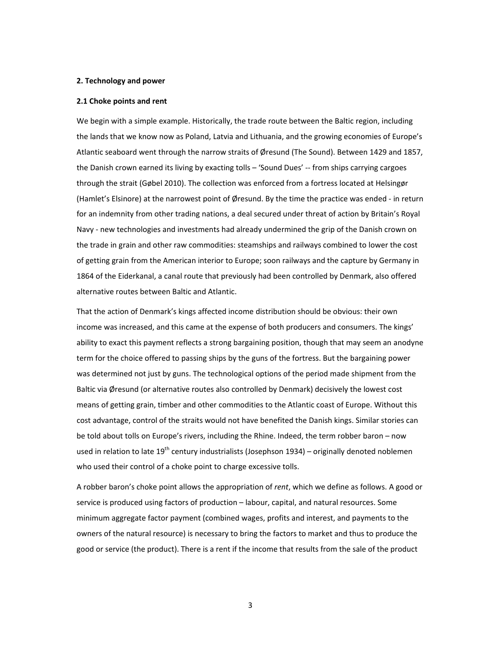#### **2. Technology and power**

#### **2.1 Choke points and rent**

We begin with a simple example. Historically, the trade route between the Baltic region, including the lands that we know now as Poland, Latvia and Lithuania, and the growing economies of Europe's Atlantic seaboard went through the narrow straits of Øresund (The Sound). Between 1429 and 1857, the Danish crown earned its living by exacting tolls – 'Sound Dues' ‐‐ from ships carrying cargoes through the strait (Gøbel 2010). The collection was enforced from a fortress located at Helsingør (Hamlet's Elsinore) at the narrowest point of Øresund. By the time the practice was ended ‐ in return for an indemnity from other trading nations, a deal secured under threat of action by Britain's Royal Navy ‐ new technologies and investments had already undermined the grip of the Danish crown on the trade in grain and other raw commodities: steamships and railways combined to lower the cost of getting grain from the American interior to Europe; soon railways and the capture by Germany in 1864 of the Eiderkanal, a canal route that previously had been controlled by Denmark, also offered alternative routes between Baltic and Atlantic.

That the action of Denmark's kings affected income distribution should be obvious: their own income was increased, and this came at the expense of both producers and consumers. The kings' ability to exact this payment reflects a strong bargaining position, though that may seem an anodyne term for the choice offered to passing ships by the guns of the fortress. But the bargaining power was determined not just by guns. The technological options of the period made shipment from the Baltic via Øresund (or alternative routes also controlled by Denmark) decisively the lowest cost means of getting grain, timber and other commodities to the Atlantic coast of Europe. Without this cost advantage, control of the straits would not have benefited the Danish kings. Similar stories can be told about tolls on Europe's rivers, including the Rhine. Indeed, the term robber baron – now used in relation to late 19<sup>th</sup> century industrialists (Josephson 1934) – originally denoted noblemen who used their control of a choke point to charge excessive tolls.

A robber baron's choke point allows the appropriation of *rent*, which we define as follows. A good or service is produced using factors of production – labour, capital, and natural resources. Some minimum aggregate factor payment (combined wages, profits and interest, and payments to the owners of the natural resource) is necessary to bring the factors to market and thus to produce the good or service (the product). There is a rent if the income that results from the sale of the product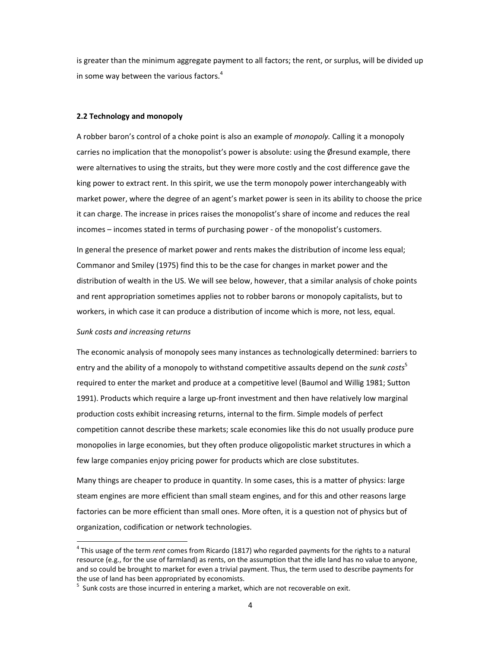is greater than the minimum aggregate payment to all factors; the rent, or surplus, will be divided up in some way between the various factors.<sup>4</sup>

#### **2.2 Technology and monopoly**

A robber baron's control of a choke point is also an example of *monopoly.* Calling it a monopoly carries no implication that the monopolist's power is absolute: using the Øresund example, there were alternatives to using the straits, but they were more costly and the cost difference gave the king power to extract rent. In this spirit, we use the term monopoly power interchangeably with market power, where the degree of an agent's market power is seen in its ability to choose the price it can charge. The increase in prices raises the monopolist's share of income and reduces the real incomes – incomes stated in terms of purchasing power ‐ of the monopolist's customers.

In general the presence of market power and rents makes the distribution of income less equal; Commanor and Smiley (1975) find this to be the case for changes in market power and the distribution of wealth in the US. We will see below, however, that a similar analysis of choke points and rent appropriation sometimes applies not to robber barons or monopoly capitalists, but to workers, in which case it can produce a distribution of income which is more, not less, equal.

#### *Sunk costs and increasing returns*

The economic analysis of monopoly sees many instances as technologically determined: barriers to entry and the ability of a monopoly to withstand competitive assaults depend on the *sunk costs*<sup>5</sup> required to enter the market and produce at a competitive level (Baumol and Willig 1981; Sutton 1991). Products which require a large up‐front investment and then have relatively low marginal production costs exhibit increasing returns, internal to the firm. Simple models of perfect competition cannot describe these markets; scale economies like this do not usually produce pure monopolies in large economies, but they often produce oligopolistic market structures in which a few large companies enjoy pricing power for products which are close substitutes.

Many things are cheaper to produce in quantity. In some cases, this is a matter of physics: large steam engines are more efficient than small steam engines, and for this and other reasons large factories can be more efficient than small ones. More often, it is a question not of physics but of organization, codification or network technologies.

<sup>4</sup> This usage of the term *rent* comes from Ricardo (1817) who regarded payments for the rights to a natural resource (e.g., for the use of farmland) as rents, on the assumption that the idle land has no value to anyone, and so could be brought to market for even a trivial payment. Thus, the term used to describe payments for the use of land has been appropriated by economists.

 $5$  Sunk costs are those incurred in entering a market, which are not recoverable on exit.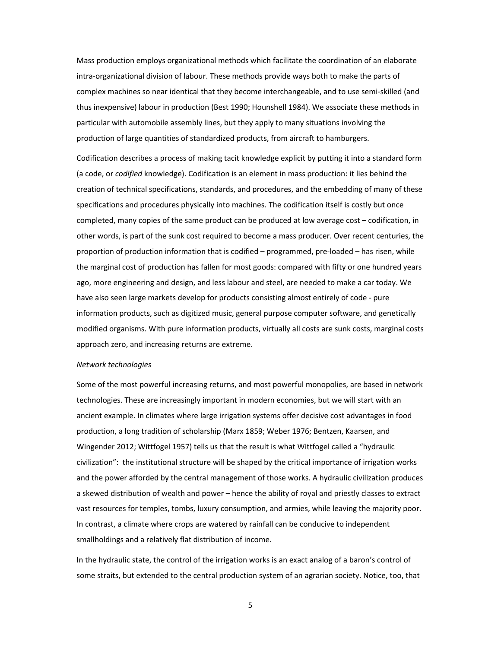Mass production employs organizational methods which facilitate the coordination of an elaborate intra‐organizational division of labour. These methods provide ways both to make the parts of complex machines so near identical that they become interchangeable, and to use semi‐skilled (and thus inexpensive) labour in production (Best 1990; Hounshell 1984). We associate these methods in particular with automobile assembly lines, but they apply to many situations involving the production of large quantities of standardized products, from aircraft to hamburgers.

Codification describes a process of making tacit knowledge explicit by putting it into a standard form (a code, or *codified* knowledge). Codification is an element in mass production: it lies behind the creation of technical specifications, standards, and procedures, and the embedding of many of these specifications and procedures physically into machines. The codification itself is costly but once completed, many copies of the same product can be produced at low average cost – codification, in other words, is part of the sunk cost required to become a mass producer. Over recent centuries, the proportion of production information that is codified – programmed, pre‐loaded – has risen, while the marginal cost of production has fallen for most goods: compared with fifty or one hundred years ago, more engineering and design, and less labour and steel, are needed to make a car today. We have also seen large markets develop for products consisting almost entirely of code ‐ pure information products, such as digitized music, general purpose computer software, and genetically modified organisms. With pure information products, virtually all costs are sunk costs, marginal costs approach zero, and increasing returns are extreme.

#### *Network technologies*

Some of the most powerful increasing returns, and most powerful monopolies, are based in network technologies. These are increasingly important in modern economies, but we will start with an ancient example. In climates where large irrigation systems offer decisive cost advantages in food production, a long tradition of scholarship (Marx 1859; Weber 1976; Bentzen, Kaarsen, and Wingender 2012; Wittfogel 1957) tells us that the result is what Wittfogel called a "hydraulic civilization": the institutional structure will be shaped by the critical importance of irrigation works and the power afforded by the central management of those works. A hydraulic civilization produces a skewed distribution of wealth and power – hence the ability of royal and priestly classes to extract vast resources for temples, tombs, luxury consumption, and armies, while leaving the majority poor. In contrast, a climate where crops are watered by rainfall can be conducive to independent smallholdings and a relatively flat distribution of income.

In the hydraulic state, the control of the irrigation works is an exact analog of a baron's control of some straits, but extended to the central production system of an agrarian society. Notice, too, that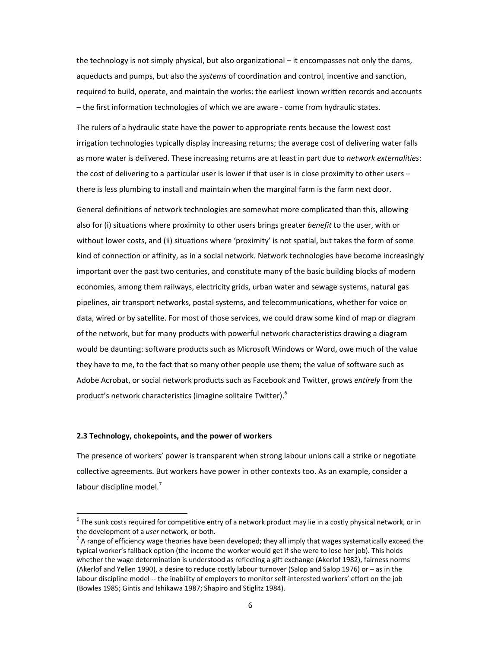the technology is not simply physical, but also organizational – it encompasses not only the dams, aqueducts and pumps, but also the *systems* of coordination and control, incentive and sanction, required to build, operate, and maintain the works: the earliest known written records and accounts – the first information technologies of which we are aware ‐ come from hydraulic states.

The rulers of a hydraulic state have the power to appropriate rents because the lowest cost irrigation technologies typically display increasing returns; the average cost of delivering water falls as more water is delivered. These increasing returns are at least in part due to *network externalities*: the cost of delivering to a particular user is lower if that user is in close proximity to other users – there is less plumbing to install and maintain when the marginal farm is the farm next door.

General definitions of network technologies are somewhat more complicated than this, allowing also for (i) situations where proximity to other users brings greater *benefit* to the user, with or without lower costs, and (ii) situations where 'proximity' is not spatial, but takes the form of some kind of connection or affinity, as in a social network. Network technologies have become increasingly important over the past two centuries, and constitute many of the basic building blocks of modern economies, among them railways, electricity grids, urban water and sewage systems, natural gas pipelines, air transport networks, postal systems, and telecommunications, whether for voice or data, wired or by satellite. For most of those services, we could draw some kind of map or diagram of the network, but for many products with powerful network characteristics drawing a diagram would be daunting: software products such as Microsoft Windows or Word, owe much of the value they have to me, to the fact that so many other people use them; the value of software such as Adobe Acrobat, or social network products such as Facebook and Twitter, grows *entirely* from the product's network characteristics (imagine solitaire Twitter).<sup>6</sup>

#### **2.3 Technology, chokepoints, and the power of workers**

The presence of workers' power is transparent when strong labour unions call a strike or negotiate collective agreements. But workers have power in other contexts too. As an example, consider a labour discipline model.<sup>7</sup>

 $^6$  The sunk costs required for competitive entry of a network product may lie in a costly physical network, or in the development of a *user* network, or both.<br><sup>7</sup> A range of efficiency wage theories have been developed; they all imply that wages systematically exceed the

typical worker's fallback option (the income the worker would get if she were to lose her job). This holds whether the wage determination is understood as reflecting a gift exchange (Akerlof 1982), fairness norms (Akerlof and Yellen 1990), a desire to reduce costly labour turnover (Salop and Salop 1976) or – as in the labour discipline model -- the inability of employers to monitor self-interested workers' effort on the job (Bowles 1985; Gintis and Ishikawa 1987; Shapiro and Stiglitz 1984).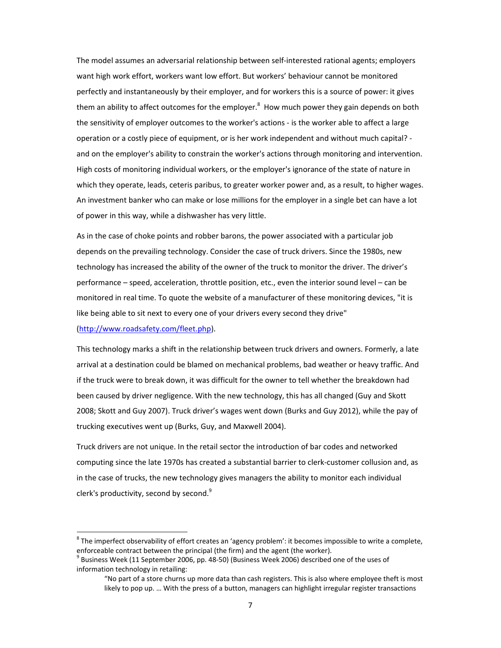The model assumes an adversarial relationship between self‐interested rational agents; employers want high work effort, workers want low effort. But workers' behaviour cannot be monitored perfectly and instantaneously by their employer, and for workers this is a source of power: it gives them an ability to affect outcomes for the employer.<sup>8</sup> How much power they gain depends on both the sensitivity of employer outcomes to the worker's actions ‐ is the worker able to affect a large operation or a costly piece of equipment, or is her work independent and without much capital? ‐ and on the employer's ability to constrain the worker's actions through monitoring and intervention. High costs of monitoring individual workers, or the employer's ignorance of the state of nature in which they operate, leads, ceteris paribus, to greater worker power and, as a result, to higher wages. An investment banker who can make or lose millions for the employer in a single bet can have a lot of power in this way, while a dishwasher has very little.

As in the case of choke points and robber barons, the power associated with a particular job depends on the prevailing technology. Consider the case of truck drivers. Since the 1980s, new technology has increased the ability of the owner of the truck to monitor the driver. The driver's performance – speed, acceleration, throttle position, etc., even the interior sound level – can be monitored in real time. To quote the website of a manufacturer of these monitoring devices, "it is like being able to sit next to every one of your drivers every second they drive" (http://www.roadsafety.com/fleet.php).

This technology marks a shift in the relationship between truck drivers and owners. Formerly, a late arrival at a destination could be blamed on mechanical problems, bad weather or heavy traffic. And if the truck were to break down, it was difficult for the owner to tell whether the breakdown had been caused by driver negligence. With the new technology, this has all changed (Guy and Skott 2008; Skott and Guy 2007). Truck driver's wages went down (Burks and Guy 2012), while the pay of trucking executives went up (Burks, Guy, and Maxwell 2004).

Truck drivers are not unique. In the retail sector the introduction of bar codes and networked computing since the late 1970s has created a substantial barrier to clerk‐customer collusion and, as in the case of trucks, the new technology gives managers the ability to monitor each individual clerk's productivity, second by second.<sup>9</sup>

 $8$  The imperfect observability of effort creates an 'agency problem': it becomes impossible to write a complete, enforceable contract between the principal (the firm) and the agent (the worker).<br><sup>9</sup> Business Week (11 September 2006, pp. 48-50) (Business Week 2006) described one of the uses of

information technology in retailing:

<sup>&</sup>quot;No part of a store churns up more data than cash registers. This is also where employee theft is most likely to pop up. … With the press of a button, managers can highlight irregular register transactions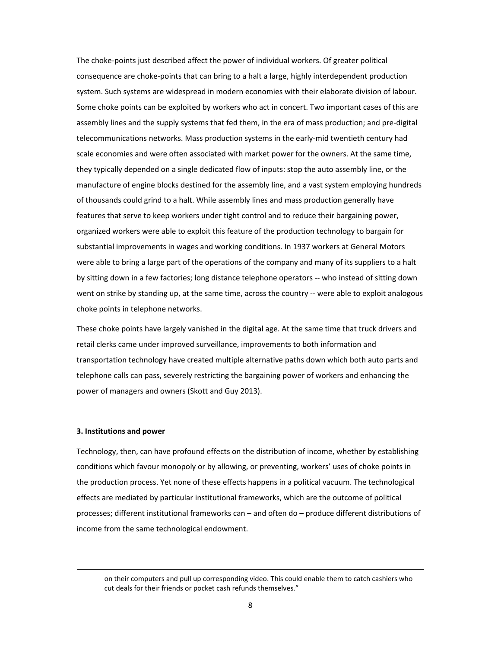The choke‐points just described affect the power of individual workers. Of greater political consequence are choke‐points that can bring to a halt a large, highly interdependent production system. Such systems are widespread in modern economies with their elaborate division of labour. Some choke points can be exploited by workers who act in concert. Two important cases of this are assembly lines and the supply systems that fed them, in the era of mass production; and pre‐digital telecommunications networks. Mass production systems in the early‐mid twentieth century had scale economies and were often associated with market power for the owners. At the same time, they typically depended on a single dedicated flow of inputs: stop the auto assembly line, or the manufacture of engine blocks destined for the assembly line, and a vast system employing hundreds of thousands could grind to a halt. While assembly lines and mass production generally have features that serve to keep workers under tight control and to reduce their bargaining power, organized workers were able to exploit this feature of the production technology to bargain for substantial improvements in wages and working conditions. In 1937 workers at General Motors were able to bring a large part of the operations of the company and many of its suppliers to a halt by sitting down in a few factories; long distance telephone operators -- who instead of sitting down went on strike by standing up, at the same time, across the country -- were able to exploit analogous choke points in telephone networks.

These choke points have largely vanished in the digital age. At the same time that truck drivers and retail clerks came under improved surveillance, improvements to both information and transportation technology have created multiple alternative paths down which both auto parts and telephone calls can pass, severely restricting the bargaining power of workers and enhancing the power of managers and owners (Skott and Guy 2013).

#### **3. Institutions and power**

Technology, then, can have profound effects on the distribution of income, whether by establishing conditions which favour monopoly or by allowing, or preventing, workers' uses of choke points in the production process. Yet none of these effects happens in a political vacuum. The technological effects are mediated by particular institutional frameworks, which are the outcome of political processes; different institutional frameworks can – and often do – produce different distributions of income from the same technological endowment.

<u> Louis Communication de la communication de la communication de la communication de la communication de la com</u>

on their computers and pull up corresponding video. This could enable them to catch cashiers who cut deals for their friends or pocket cash refunds themselves."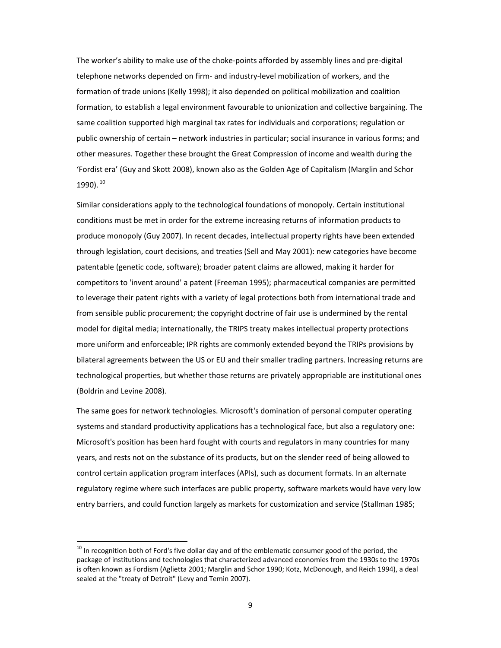The worker's ability to make use of the choke‐points afforded by assembly lines and pre‐digital telephone networks depended on firm‐ and industry‐level mobilization of workers, and the formation of trade unions (Kelly 1998); it also depended on political mobilization and coalition formation, to establish a legal environment favourable to unionization and collective bargaining. The same coalition supported high marginal tax rates for individuals and corporations; regulation or public ownership of certain – network industries in particular; social insurance in various forms; and other measures. Together these brought the Great Compression of income and wealth during the 'Fordist era' (Guy and Skott 2008), known also as the Golden Age of Capitalism (Marglin and Schor 1990).  $10$ 

Similar considerations apply to the technological foundations of monopoly. Certain institutional conditions must be met in order for the extreme increasing returns of information products to produce monopoly (Guy 2007). In recent decades, intellectual property rights have been extended through legislation, court decisions, and treaties (Sell and May 2001): new categories have become patentable (genetic code, software); broader patent claims are allowed, making it harder for competitors to 'invent around' a patent (Freeman 1995); pharmaceutical companies are permitted to leverage their patent rights with a variety of legal protections both from international trade and from sensible public procurement; the copyright doctrine of fair use is undermined by the rental model for digital media; internationally, the TRIPS treaty makes intellectual property protections more uniform and enforceable; IPR rights are commonly extended beyond the TRIPs provisions by bilateral agreements between the US or EU and their smaller trading partners. Increasing returns are technological properties, but whether those returns are privately appropriable are institutional ones (Boldrin and Levine 2008).

The same goes for network technologies. Microsoft's domination of personal computer operating systems and standard productivity applications has a technological face, but also a regulatory one: Microsoft's position has been hard fought with courts and regulators in many countries for many years, and rests not on the substance of its products, but on the slender reed of being allowed to control certain application program interfaces (APIs), such as document formats. In an alternate regulatory regime where such interfaces are public property, software markets would have very low entry barriers, and could function largely as markets for customization and service (Stallman 1985;

<sup>&</sup>lt;sup>10</sup> In recognition both of Ford's five dollar day and of the emblematic consumer good of the period, the package of institutions and technologies that characterized advanced economies from the 1930s to the 1970s is often known as Fordism (Aglietta 2001; Marglin and Schor 1990; Kotz, McDonough, and Reich 1994), a deal sealed at the "treaty of Detroit" (Levy and Temin 2007).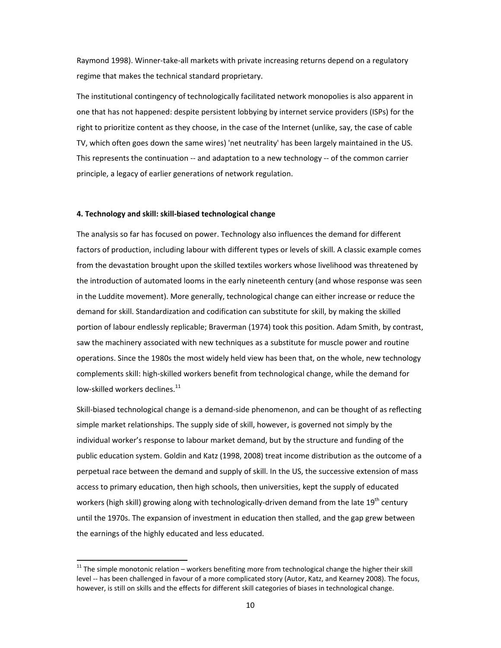Raymond 1998). Winner‐take‐all markets with private increasing returns depend on a regulatory regime that makes the technical standard proprietary.

The institutional contingency of technologically facilitated network monopolies is also apparent in one that has not happened: despite persistent lobbying by internet service providers (ISPs) for the right to prioritize content as they choose, in the case of the Internet (unlike, say, the case of cable TV, which often goes down the same wires) 'net neutrality' has been largely maintained in the US. This represents the continuation -- and adaptation to a new technology -- of the common carrier principle, a legacy of earlier generations of network regulation.

#### **4. Technology and skill: skill‐biased technological change**

The analysis so far has focused on power. Technology also influences the demand for different factors of production, including labour with different types or levels of skill. A classic example comes from the devastation brought upon the skilled textiles workers whose livelihood was threatened by the introduction of automated looms in the early nineteenth century (and whose response was seen in the Luddite movement). More generally, technological change can either increase or reduce the demand for skill. Standardization and codification can substitute for skill, by making the skilled portion of labour endlessly replicable; Braverman (1974) took this position. Adam Smith, by contrast, saw the machinery associated with new techniques as a substitute for muscle power and routine operations. Since the 1980s the most widely held view has been that, on the whole, new technology complements skill: high‐skilled workers benefit from technological change, while the demand for low-skilled workers declines.<sup>11</sup>

Skill‐biased technological change is a demand‐side phenomenon, and can be thought of as reflecting simple market relationships. The supply side of skill, however, is governed not simply by the individual worker's response to labour market demand, but by the structure and funding of the public education system. Goldin and Katz (1998, 2008) treat income distribution as the outcome of a perpetual race between the demand and supply of skill. In the US, the successive extension of mass access to primary education, then high schools, then universities, kept the supply of educated workers (high skill) growing along with technologically-driven demand from the late 19<sup>th</sup> century until the 1970s. The expansion of investment in education then stalled, and the gap grew between the earnings of the highly educated and less educated.

 $11$  The simple monotonic relation – workers benefiting more from technological change the higher their skill level ‐‐ has been challenged in favour of a more complicated story (Autor, Katz, and Kearney 2008). The focus, however, is still on skills and the effects for different skill categories of biases in technological change.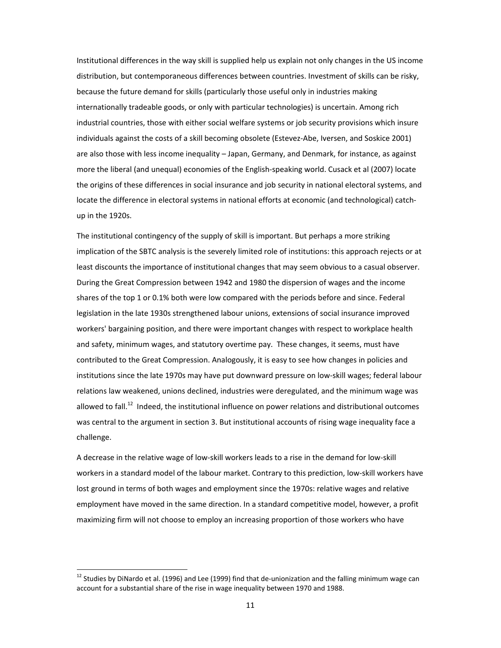Institutional differences in the way skill is supplied help us explain not only changes in the US income distribution, but contemporaneous differences between countries. Investment of skills can be risky, because the future demand for skills (particularly those useful only in industries making internationally tradeable goods, or only with particular technologies) is uncertain. Among rich industrial countries, those with either social welfare systems or job security provisions which insure individuals against the costs of a skill becoming obsolete (Estevez‐Abe, Iversen, and Soskice 2001) are also those with less income inequality – Japan, Germany, and Denmark, for instance, as against more the liberal (and unequal) economies of the English‐speaking world. Cusack et al (2007) locate the origins of these differences in social insurance and job security in national electoral systems, and locate the difference in electoral systems in national efforts at economic (and technological) catch‐ up in the 1920s.

The institutional contingency of the supply of skill is important. But perhaps a more striking implication of the SBTC analysis is the severely limited role of institutions: this approach rejects or at least discounts the importance of institutional changes that may seem obvious to a casual observer. During the Great Compression between 1942 and 1980 the dispersion of wages and the income shares of the top 1 or 0.1% both were low compared with the periods before and since. Federal legislation in the late 1930s strengthened labour unions, extensions of social insurance improved workers' bargaining position, and there were important changes with respect to workplace health and safety, minimum wages, and statutory overtime pay. These changes, it seems, must have contributed to the Great Compression. Analogously, it is easy to see how changes in policies and institutions since the late 1970s may have put downward pressure on low‐skill wages; federal labour relations law weakened, unions declined, industries were deregulated, and the minimum wage was allowed to fall.<sup>12</sup> Indeed, the institutional influence on power relations and distributional outcomes was central to the argument in section 3. But institutional accounts of rising wage inequality face a challenge.

A decrease in the relative wage of low‐skill workers leads to a rise in the demand for low‐skill workers in a standard model of the labour market. Contrary to this prediction, low‐skill workers have lost ground in terms of both wages and employment since the 1970s: relative wages and relative employment have moved in the same direction. In a standard competitive model, however, a profit maximizing firm will not choose to employ an increasing proportion of those workers who have

 $12$  Studies by DiNardo et al. (1996) and Lee (1999) find that de-unionization and the falling minimum wage can account for a substantial share of the rise in wage inequality between 1970 and 1988.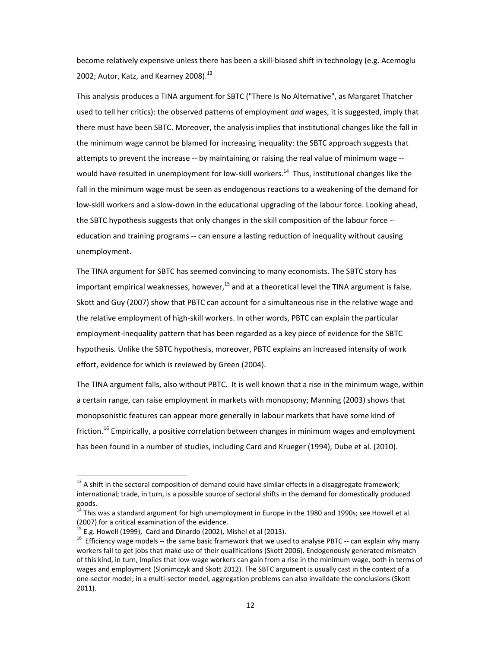become relatively expensive unless there has been a skill‐biased shift in technology (e.g. Acemoglu 2002; Autor, Katz, and Kearney 2008). $^{13}$ 

This analysis produces a TINA argument for SBTC ("There Is No Alternative", as Margaret Thatcher used to tell her critics): the observed patterns of employment *and* wages, it is suggested, imply that there must have been SBTC. Moreover, the analysis implies that institutional changes like the fall in the minimum wage cannot be blamed for increasing inequality: the SBTC approach suggests that attempts to prevent the increase -- by maintaining or raising the real value of minimum wage -would have resulted in unemployment for low-skill workers.<sup>14</sup> Thus, institutional changes like the fall in the minimum wage must be seen as endogenous reactions to a weakening of the demand for low‐skill workers and a slow‐down in the educational upgrading of the labour force. Looking ahead, the SBTC hypothesis suggests that only changes in the skill composition of the labour force ‐‐ education and training programs ‐‐ can ensure a lasting reduction of inequality without causing unemployment.

The TINA argument for SBTC has seemed convincing to many economists. The SBTC story has important empirical weaknesses, however, $15$  and at a theoretical level the TINA argument is false. Skott and Guy (2007) show that PBTC can account for a simultaneous rise in the relative wage and the relative employment of high‐skill workers. In other words, PBTC can explain the particular employment-inequality pattern that has been regarded as a key piece of evidence for the SBTC hypothesis. Unlike the SBTC hypothesis, moreover, PBTC explains an increased intensity of work effort, evidence for which is reviewed by Green (2004).

The TINA argument falls, also without PBTC. It is well known that a rise in the minimum wage, within a certain range, can raise employment in markets with monopsony; Manning (2003) shows that monopsonistic features can appear more generally in labour markets that have some kind of friction.<sup>16</sup> Empirically, a positive correlation between changes in minimum wages and employment has been found in a number of studies, including Card and Krueger (1994), Dube et al. (2010).

 $13$  A shift in the sectoral composition of demand could have similar effects in a disaggregate framework; international; trade, in turn, is a possible source of sectoral shifts in the demand for domestically produced goods.

<sup>&</sup>lt;sup>14</sup> This was a standard argument for high unemployment in Europe in the 1980 and 1990s; see Howell et al.<br>(2007) for a critical examination of the evidence.

 $\frac{15}{15}$  E.g. Howell (1999), Card and Dinardo (2002), Mishel et al (2013).<br><sup>16</sup> Efficiency wage models -- the same basic framework that we used to analyse PBTC -- can explain why many workers fail to get jobs that make use of their qualifications (Skott 2006). Endogenously generated mismatch of this kind, in turn, implies that low‐wage workers can gain from a rise in the minimum wage, both in terms of wages and employment (Slonimczyk and Skott 2012). The SBTC argument is usually cast in the context of a one‐sector model; in a multi‐sector model, aggregation problems can also invalidate the conclusions (Skott 2011).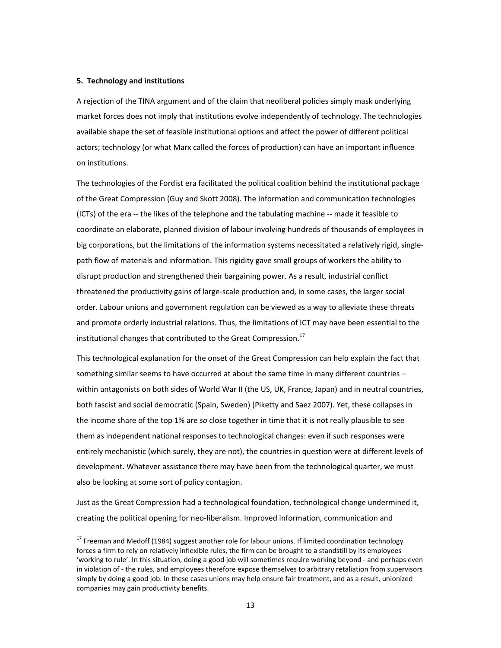#### **5. Technology and institutions**

A rejection of the TINA argument and of the claim that neoliberal policies simply mask underlying market forces does not imply that institutions evolve independently of technology. The technologies available shape the set of feasible institutional options and affect the power of different political actors; technology (or what Marx called the forces of production) can have an important influence on institutions.

The technologies of the Fordist era facilitated the political coalition behind the institutional package of the Great Compression (Guy and Skott 2008). The information and communication technologies (ICTs) of the era ‐‐ the likes of the telephone and the tabulating machine ‐‐ made it feasible to coordinate an elaborate, planned division of labour involving hundreds of thousands of employees in big corporations, but the limitations of the information systems necessitated a relatively rigid, singlepath flow of materials and information. This rigidity gave small groups of workers the ability to disrupt production and strengthened their bargaining power. As a result, industrial conflict threatened the productivity gains of large‐scale production and, in some cases, the larger social order. Labour unions and government regulation can be viewed as a way to alleviate these threats and promote orderly industrial relations. Thus, the limitations of ICT may have been essential to the institutional changes that contributed to the Great Compression.<sup>17</sup>

This technological explanation for the onset of the Great Compression can help explain the fact that something similar seems to have occurred at about the same time in many different countries within antagonists on both sides of World War II (the US, UK, France, Japan) and in neutral countries, both fascist and social democratic (Spain, Sweden) (Piketty and Saez 2007). Yet, these collapses in the income share of the top 1% are *so* close together in time that it is not really plausible to see them as independent national responses to technological changes: even if such responses were entirely mechanistic (which surely, they are not), the countries in question were at different levels of development. Whatever assistance there may have been from the technological quarter, we must also be looking at some sort of policy contagion.

Just as the Great Compression had a technological foundation, technological change undermined it, creating the political opening for neo‐liberalism. Improved information, communication and

<sup>&</sup>lt;sup>17</sup> Freeman and Medoff (1984) suggest another role for labour unions. If limited coordination technology forces a firm to rely on relatively inflexible rules, the firm can be brought to a standstill by its employees 'working to rule'. In this situation, doing a good job will sometimes require working beyond ‐ and perhaps even in violation of ‐ the rules, and employees therefore expose themselves to arbitrary retaliation from supervisors simply by doing a good job. In these cases unions may help ensure fair treatment, and as a result, unionized companies may gain productivity benefits.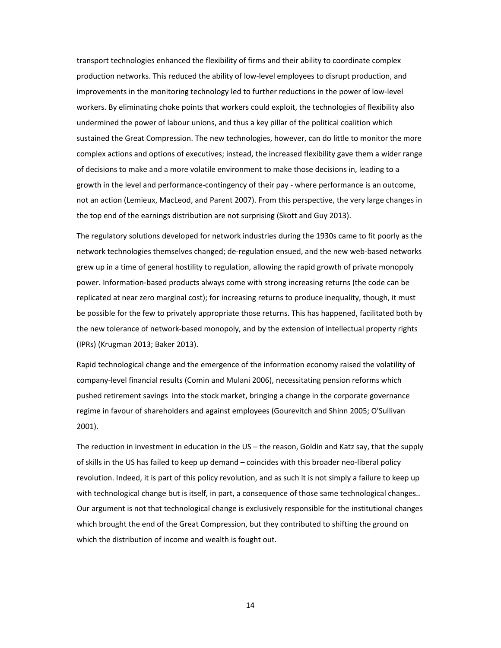transport technologies enhanced the flexibility of firms and their ability to coordinate complex production networks. This reduced the ability of low-level employees to disrupt production, and improvements in the monitoring technology led to further reductions in the power of low-level workers. By eliminating choke points that workers could exploit, the technologies of flexibility also undermined the power of labour unions, and thus a key pillar of the political coalition which sustained the Great Compression. The new technologies, however, can do little to monitor the more complex actions and options of executives; instead, the increased flexibility gave them a wider range of decisions to make and a more volatile environment to make those decisions in, leading to a growth in the level and performance‐contingency of their pay ‐ where performance is an outcome, not an action (Lemieux, MacLeod, and Parent 2007). From this perspective, the very large changes in the top end of the earnings distribution are not surprising (Skott and Guy 2013).

The regulatory solutions developed for network industries during the 1930s came to fit poorly as the network technologies themselves changed; de-regulation ensued, and the new web-based networks grew up in a time of general hostility to regulation, allowing the rapid growth of private monopoly power. Information‐based products always come with strong increasing returns (the code can be replicated at near zero marginal cost); for increasing returns to produce inequality, though, it must be possible for the few to privately appropriate those returns. This has happened, facilitated both by the new tolerance of network‐based monopoly, and by the extension of intellectual property rights (IPRs) (Krugman 2013; Baker 2013).

Rapid technological change and the emergence of the information economy raised the volatility of company‐level financial results (Comin and Mulani 2006), necessitating pension reforms which pushed retirement savings into the stock market, bringing a change in the corporate governance regime in favour of shareholders and against employees (Gourevitch and Shinn 2005; O'Sullivan 2001).

The reduction in investment in education in the US – the reason, Goldin and Katz say, that the supply of skills in the US has failed to keep up demand – coincides with this broader neo‐liberal policy revolution. Indeed, it is part of this policy revolution, and as such it is not simply a failure to keep up with technological change but is itself, in part, a consequence of those same technological changes.. Our argument is not that technological change is exclusively responsible for the institutional changes which brought the end of the Great Compression, but they contributed to shifting the ground on which the distribution of income and wealth is fought out.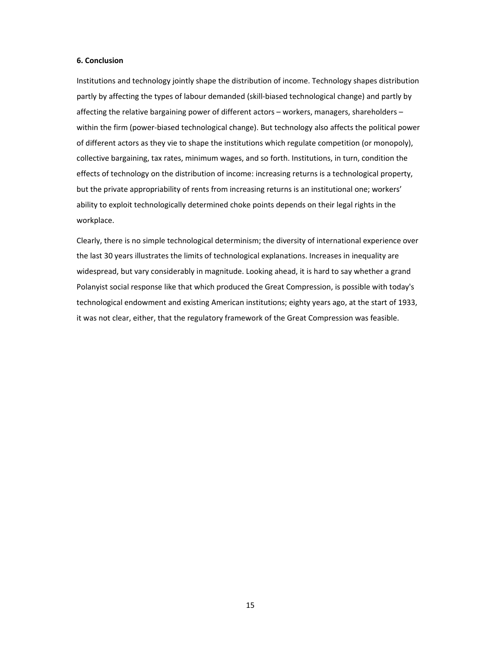#### **6. Conclusion**

Institutions and technology jointly shape the distribution of income. Technology shapes distribution partly by affecting the types of labour demanded (skill-biased technological change) and partly by affecting the relative bargaining power of different actors – workers, managers, shareholders – within the firm (power-biased technological change). But technology also affects the political power of different actors as they vie to shape the institutions which regulate competition (or monopoly), collective bargaining, tax rates, minimum wages, and so forth. Institutions, in turn, condition the effects of technology on the distribution of income: increasing returns is a technological property, but the private appropriability of rents from increasing returns is an institutional one; workers' ability to exploit technologically determined choke points depends on their legal rights in the workplace.

Clearly, there is no simple technological determinism; the diversity of international experience over the last 30 years illustrates the limits of technological explanations. Increases in inequality are widespread, but vary considerably in magnitude. Looking ahead, it is hard to say whether a grand Polanyist social response like that which produced the Great Compression, is possible with today's technological endowment and existing American institutions; eighty years ago, at the start of 1933, it was not clear, either, that the regulatory framework of the Great Compression was feasible.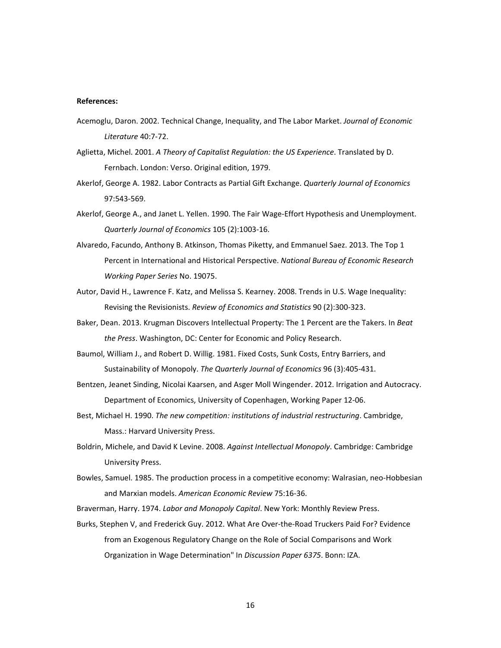#### **References:**

- Acemoglu, Daron. 2002. Technical Change, Inequality, and The Labor Market. *Journal of Economic Literature* 40:7‐72.
- Aglietta, Michel. 2001. *A Theory of Capitalist Regulation: the US Experience*. Translated by D. Fernbach. London: Verso. Original edition, 1979.
- Akerlof, George A. 1982. Labor Contracts as Partial Gift Exchange. *Quarterly Journal of Economics* 97:543‐569.
- Akerlof, George A., and Janet L. Yellen. 1990. The Fair Wage‐Effort Hypothesis and Unemployment. *Quarterly Journal of Economics* 105 (2):1003‐16.
- Alvaredo, Facundo, Anthony B. Atkinson, Thomas Piketty, and Emmanuel Saez. 2013. The Top 1 Percent in International and Historical Perspective. *National Bureau of Economic Research Working Paper Series* No. 19075.
- Autor, David H., Lawrence F. Katz, and Melissa S. Kearney. 2008. Trends in U.S. Wage Inequality: Revising the Revisionists. *Review of Economics and Statistics* 90 (2):300‐323.
- Baker, Dean. 2013. Krugman Discovers Intellectual Property: The 1 Percent are the Takers. In *Beat the Press*. Washington, DC: Center for Economic and Policy Research.
- Baumol, William J., and Robert D. Willig. 1981. Fixed Costs, Sunk Costs, Entry Barriers, and Sustainability of Monopoly. *The Quarterly Journal of Economics* 96 (3):405‐431.
- Bentzen, Jeanet Sinding, Nicolai Kaarsen, and Asger Moll Wingender. 2012. Irrigation and Autocracy. Department of Economics, University of Copenhagen, Working Paper 12‐06.
- Best, Michael H. 1990. *The new competition: institutions of industrial restructuring*. Cambridge, Mass.: Harvard University Press.
- Boldrin, Michele, and David K Levine. 2008. *Against Intellectual Monopoly*. Cambridge: Cambridge University Press.
- Bowles, Samuel. 1985. The production process in a competitive economy: Walrasian, neo‐Hobbesian and Marxian models. *American Economic Review* 75:16‐36.
- Braverman, Harry. 1974. *Labor and Monopoly Capital*. New York: Monthly Review Press.
- Burks, Stephen V, and Frederick Guy. 2012. What Are Over‐the‐Road Truckers Paid For? Evidence from an Exogenous Regulatory Change on the Role of Social Comparisons and Work Organization in Wage Determination" In *Discussion Paper 6375*. Bonn: IZA.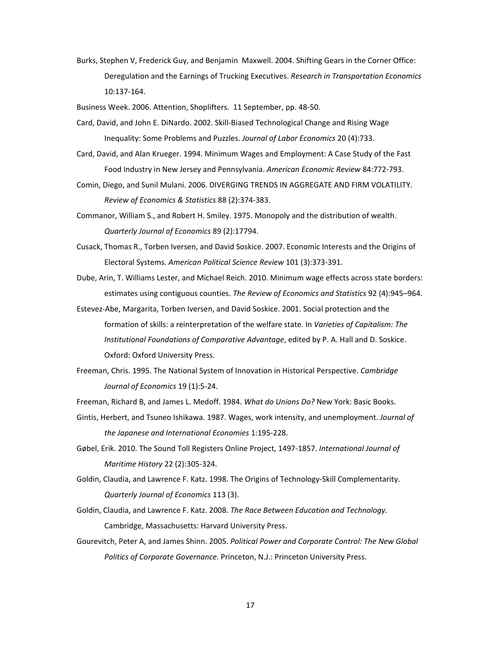Burks, Stephen V, Frederick Guy, and Benjamin Maxwell. 2004. Shifting Gears in the Corner Office: Deregulation and the Earnings of Trucking Executives. *Research in Transportation Economics* 10:137‐164.

Business Week. 2006. Attention, Shoplifters. 11 September, pp. 48‐50.

- Card, David, and John E. DiNardo. 2002. Skill‐Biased Technological Change and Rising Wage Inequality: Some Problems and Puzzles. *Journal of Labor Economics* 20 (4):733.
- Card, David, and Alan Krueger. 1994. Minimum Wages and Employment: A Case Study of the Fast Food Industry in New Jersey and Pennsylvania. *American Economic Review* 84:772‐793.
- Comin, Diego, and Sunil Mulani. 2006. DIVERGING TRENDS IN AGGREGATE AND FIRM VOLATILITY. *Review of Economics & Statistics* 88 (2):374‐383.

Commanor, William S., and Robert H. Smiley. 1975. Monopoly and the distribution of wealth. *Quarterly Journal of Economics* 89 (2):17794.

Cusack, Thomas R., Torben Iversen, and David Soskice. 2007. Economic Interests and the Origins of Electoral Systems. *American Political Science Review* 101 (3):373‐391.

Dube, Arin, T. Williams Lester, and Michael Reich. 2010. Minimum wage effects across state borders: estimates using contiguous counties. *The Review of Economics and Statistics* 92 (4):945–964.

- Estevez‐Abe, Margarita, Torben Iversen, and David Soskice. 2001. Social protection and the formation of skills: a reinterpretation of the welfare state. In *Varieties of Capitalism: The Institutional Foundations of Comparative Advantage*, edited by P. A. Hall and D. Soskice. Oxford: Oxford University Press.
- Freeman, Chris. 1995. The National System of Innovation in Historical Perspective. *Cambridge Journal of Economics* 19 (1):5‐24.
- Freeman, Richard B, and James L. Medoff. 1984. *What do Unions Do?* New York: Basic Books.
- Gintis, Herbert, and Tsuneo Ishikawa. 1987. Wages, work intensity, and unemployment. *Journal of the Japanese and International Economies* 1:195‐228.
- Gøbel, Erik. 2010. The Sound Toll Registers Online Project, 1497‐1857. *International Journal of Maritime History* 22 (2):305‐324.
- Goldin, Claudia, and Lawrence F. Katz. 1998. The Origins of Technology‐Skill Complementarity. *Quarterly Journal of Economics* 113 (3).
- Goldin, Claudia, and Lawrence F. Katz. 2008. *The Race Between Education and Technology.* Cambridge, Massachusetts: Harvard University Press.
- Gourevitch, Peter A, and James Shinn. 2005. *Political Power and Corporate Control: The New Global Politics of Corporate Governance*. Princeton, N.J.: Princeton University Press.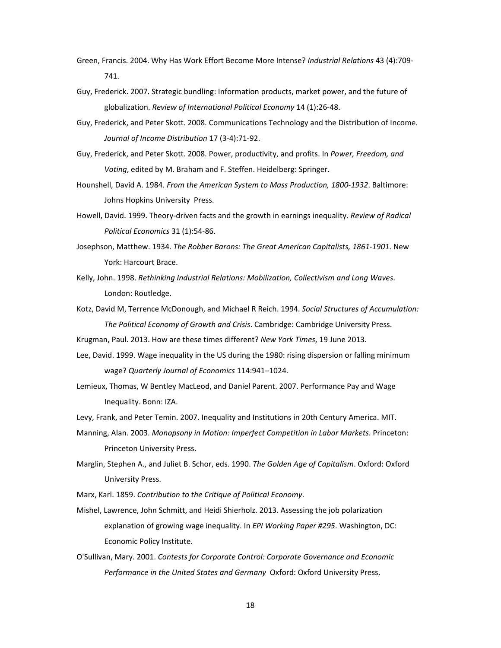- Green, Francis. 2004. Why Has Work Effort Become More Intense? *Industrial Relations* 43 (4):709‐ 741.
- Guy, Frederick. 2007. Strategic bundling: Information products, market power, and the future of globalization. *Review of International Political Economy* 14 (1):26‐48.
- Guy, Frederick, and Peter Skott. 2008. Communications Technology and the Distribution of Income. *Journal of Income Distribution* 17 (3‐4):71‐92.
- Guy, Frederick, and Peter Skott. 2008. Power, productivity, and profits. In *Power, Freedom, and Voting*, edited by M. Braham and F. Steffen. Heidelberg: Springer.
- Hounshell, David A. 1984. *From the American System to Mass Production, 1800‐1932*. Baltimore: Johns Hopkins University Press.
- Howell, David. 1999. Theory‐driven facts and the growth in earnings inequality. *Review of Radical Political Economics* 31 (1):54‐86.
- Josephson, Matthew. 1934. *The Robber Barons: The Great American Capitalists, 1861‐1901*. New York: Harcourt Brace.
- Kelly, John. 1998. *Rethinking Industrial Relations: Mobilization, Collectivism and Long Waves*. London: Routledge.
- Kotz, David M, Terrence McDonough, and Michael R Reich. 1994. *Social Structures of Accumulation: The Political Economy of Growth and Crisis*. Cambridge: Cambridge University Press.

Krugman, Paul. 2013. How are these times different? *New York Times*, 19 June 2013.

- Lee, David. 1999. Wage inequality in the US during the 1980: rising dispersion or falling minimum wage? *Quarterly Journal of Economics* 114:941–1024.
- Lemieux, Thomas, W Bentley MacLeod, and Daniel Parent. 2007. Performance Pay and Wage Inequality. Bonn: IZA.

Levy, Frank, and Peter Temin. 2007. Inequality and Institutions in 20th Century America. MIT.

- Manning, Alan. 2003. *Monopsony in Motion: Imperfect Competition in Labor Markets*. Princeton: Princeton University Press.
- Marglin, Stephen A., and Juliet B. Schor, eds. 1990. *The Golden Age of Capitalism*. Oxford: Oxford University Press.
- Marx, Karl. 1859. *Contribution to the Critique of Political Economy*.
- Mishel, Lawrence, John Schmitt, and Heidi Shierholz. 2013. Assessing the job polarization explanation of growing wage inequality. In *EPI Working Paper #295*. Washington, DC: Economic Policy Institute.
- O'Sullivan, Mary. 2001. *Contests for Corporate Control: Corporate Governance and Economic Performance in the United States and Germany* Oxford: Oxford University Press.